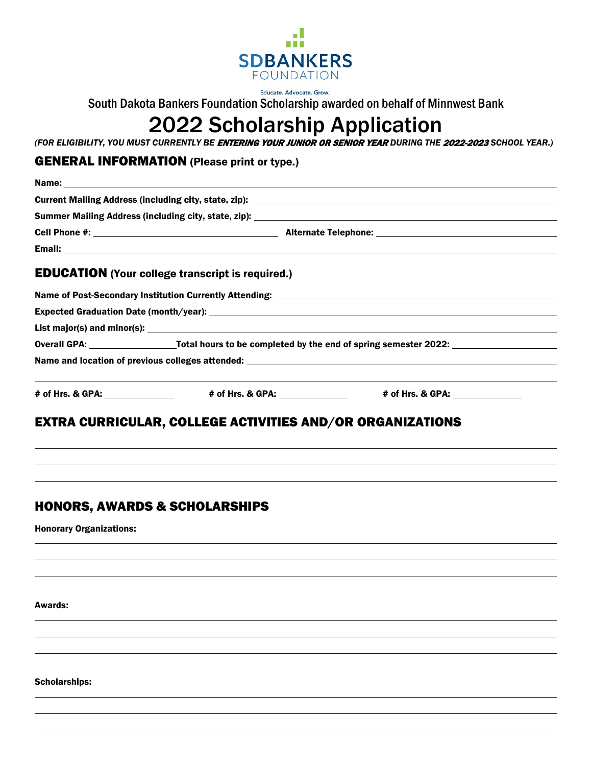

Educate. Advocate. Grow. South Dakota Bankers Foundation Scholarship awarded on behalf of Minnwest Bank

# 2022 Scholarship Application

*(FOR ELIGIBILITY, YOU MUST CURRENTLY BE* ENTERING YOUR JUNIOR OR SENIOR YEAR *DURING THE* 2022-2023 *SCHOOL YEAR.)*

## GENERAL INFORMATION (Please print or type.)

| <b>EDUCATION</b> (Your college transcript is required.)                                                         |                                                                                  |  |
|-----------------------------------------------------------------------------------------------------------------|----------------------------------------------------------------------------------|--|
|                                                                                                                 |                                                                                  |  |
|                                                                                                                 |                                                                                  |  |
|                                                                                                                 |                                                                                  |  |
| Overall GPA: _______________________Total hours to be completed by the end of spring semester 2022: ___________ |                                                                                  |  |
|                                                                                                                 |                                                                                  |  |
|                                                                                                                 | ,我们也不能在这里的时候,我们也不能在这里的时候,我们也不能会不能会不能会不能会不能会不能会不能会不能会不能会不能会。""我们的是,我们也不能会不能会不能会不能 |  |
| EVERA AURRIAULAR AALLEAE LAEBUERA ANR /AR ARAANUFAEIANA                                                         |                                                                                  |  |

# EXTRA CURRICULAR, COLLEGE ACTIVITIES AND/OR ORGANIZATIONS

# HONORS, AWARDS & SCHOLARSHIPS

Honorary Organizations:

Awards:

Scholarships: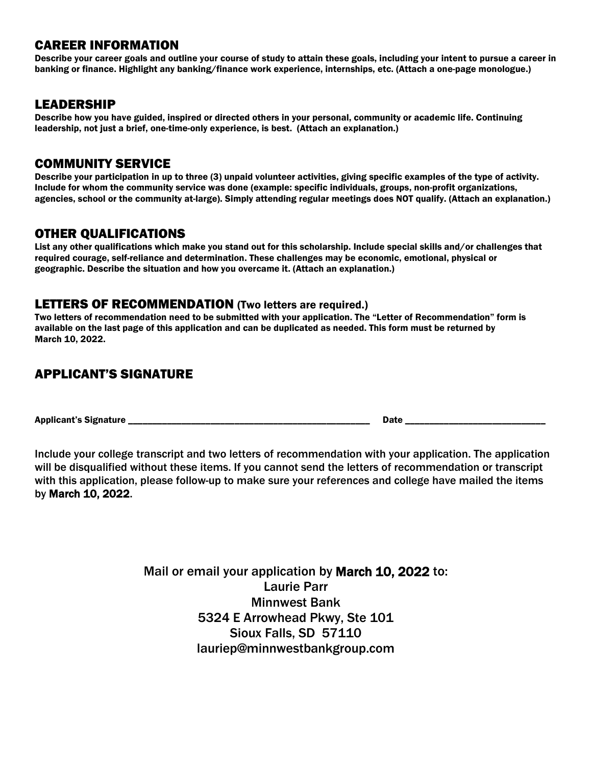## CAREER INFORMATION

Describe your career goals and outline your course of study to attain these goals, including your intent to pursue a career in banking or finance. Highlight any banking/finance work experience, internships, etc. (Attach a one-page monologue.)

## LEADERSHIP

Describe how you have guided, inspired or directed others in your personal, community or academic life. Continuing leadership, not just a brief, one-time-only experience, is best. (Attach an explanation.)

## COMMUNITY SERVICE

Describe your participation in up to three (3) unpaid volunteer activities, giving specific examples of the type of activity. Include for whom the community service was done (example: specific individuals, groups, non-profit organizations, agencies, school or the community at-large). Simply attending regular meetings does NOT qualify. (Attach an explanation.)

## OTHER QUALIFICATIONS

List any other qualifications which make you stand out for this scholarship. Include special skills and/or challenges that required courage, self-reliance and determination. These challenges may be economic, emotional, physical or geographic. Describe the situation and how you overcame it. (Attach an explanation.)

### LETTERS OF RECOMMENDATION (Two letters are required.)

Two letters of recommendation need to be submitted with your application. The "Letter of Recommendation" form is available on the last page of this application and can be duplicated as needed. This form must be returned by March 10, 2022.

# APPLICANT'S SIGNATURE

Applicant's Signature \_\_\_\_\_\_\_\_\_\_\_\_\_\_\_\_\_\_\_\_\_\_\_\_\_\_\_\_\_\_\_\_\_\_\_\_\_\_\_\_\_\_\_\_\_\_\_\_\_\_ Date \_\_\_\_\_\_\_\_\_\_\_\_\_\_\_\_\_\_\_\_\_\_\_\_\_\_\_\_\_

Include your college transcript and two letters of recommendation with your application. The application will be disqualified without these items. If you cannot send the letters of recommendation or transcript with this application, please follow-up to make sure your references and college have mailed the items by March 10, 2022.

> Mail or email your application by March 10, 2022 to: Laurie Parr Minnwest Bank 5324 E Arrowhead Pkwy, Ste 101 Sioux Falls, SD 57110 lauriep@minnwestbankgroup.com